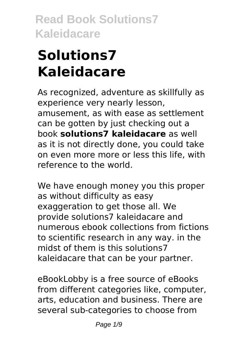# **Solutions7 Kaleidacare**

As recognized, adventure as skillfully as experience very nearly lesson, amusement, as with ease as settlement can be gotten by just checking out a book **solutions7 kaleidacare** as well as it is not directly done, you could take on even more more or less this life, with reference to the world.

We have enough money you this proper as without difficulty as easy exaggeration to get those all. We provide solutions7 kaleidacare and numerous ebook collections from fictions to scientific research in any way. in the midst of them is this solutions7 kaleidacare that can be your partner.

eBookLobby is a free source of eBooks from different categories like, computer, arts, education and business. There are several sub-categories to choose from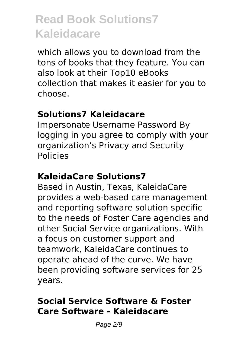which allows you to download from the tons of books that they feature. You can also look at their Top10 eBooks collection that makes it easier for you to choose.

#### **Solutions7 Kaleidacare**

Impersonate Username Password By logging in you agree to comply with your organization's Privacy and Security Policies

#### **KaleidaCare Solutions7**

Based in Austin, Texas, KaleidaCare provides a web-based care management and reporting software solution specific to the needs of Foster Care agencies and other Social Service organizations. With a focus on customer support and teamwork, KaleidaCare continues to operate ahead of the curve. We have been providing software services for 25 years.

#### **Social Service Software & Foster Care Software - Kaleidacare**

Page 2/9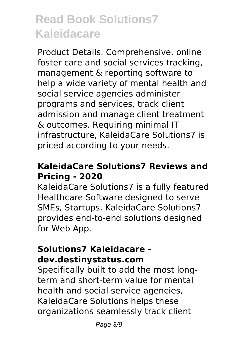Product Details. Comprehensive, online foster care and social services tracking, management & reporting software to help a wide variety of mental health and social service agencies administer programs and services, track client admission and manage client treatment & outcomes. Requiring minimal IT infrastructure, KaleidaCare Solutions7 is priced according to your needs.

#### **KaleidaCare Solutions7 Reviews and Pricing - 2020**

KaleidaCare Solutions7 is a fully featured Healthcare Software designed to serve SMEs, Startups. KaleidaCare Solutions7 provides end-to-end solutions designed for Web App.

#### **Solutions7 Kaleidacare dev.destinystatus.com**

Specifically built to add the most longterm and short-term value for mental health and social service agencies, KaleidaCare Solutions helps these organizations seamlessly track client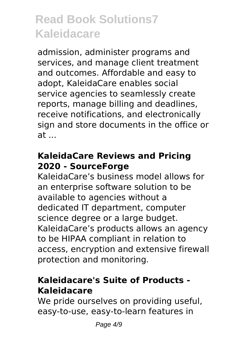admission, administer programs and services, and manage client treatment and outcomes. Affordable and easy to adopt, KaleidaCare enables social service agencies to seamlessly create reports, manage billing and deadlines, receive notifications, and electronically sign and store documents in the office or at ...

#### **KaleidaCare Reviews and Pricing 2020 - SourceForge**

KaleidaCare's business model allows for an enterprise software solution to be available to agencies without a dedicated IT department, computer science degree or a large budget. KaleidaCare's products allows an agency to be HIPAA compliant in relation to access, encryption and extensive firewall protection and monitoring.

#### **Kaleidacare's Suite of Products - Kaleidacare**

We pride ourselves on providing useful, easy-to-use, easy-to-learn features in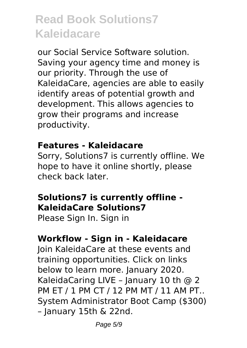our Social Service Software solution. Saving your agency time and money is our priority. Through the use of KaleidaCare, agencies are able to easily identify areas of potential growth and development. This allows agencies to grow their programs and increase productivity.

#### **Features - Kaleidacare**

Sorry, Solutions7 is currently offline. We hope to have it online shortly, please check back later.

#### **Solutions7 is currently offline - KaleidaCare Solutions7**

Please Sign In. Sign in

#### **Workflow - Sign in - Kaleidacare**

Join KaleidaCare at these events and training opportunities. Click on links below to learn more. January 2020. KaleidaCaring LIVE - January 10 th @ 2 PM ET / 1 PM CT / 12 PM MT / 11 AM PT.. System Administrator Boot Camp (\$300) – January 15th & 22nd.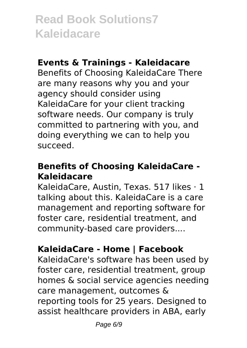#### **Events & Trainings - Kaleidacare**

Benefits of Choosing KaleidaCare There are many reasons why you and your agency should consider using KaleidaCare for your client tracking software needs. Our company is truly committed to partnering with you, and doing everything we can to help you succeed.

#### **Benefits of Choosing KaleidaCare - Kaleidacare**

KaleidaCare, Austin, Texas. 517 likes · 1 talking about this. KaleidaCare is a care management and reporting software for foster care, residential treatment, and community-based care providers....

### **KaleidaCare - Home | Facebook**

KaleidaCare's software has been used by foster care, residential treatment, group homes & social service agencies needing care management, outcomes & reporting tools for 25 years. Designed to assist healthcare providers in ABA, early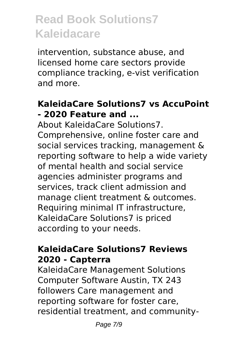intervention, substance abuse, and licensed home care sectors provide compliance tracking, e-vist verification and more.

#### **KaleidaCare Solutions7 vs AccuPoint - 2020 Feature and ...**

About KaleidaCare Solutions7. Comprehensive, online foster care and social services tracking, management & reporting software to help a wide variety of mental health and social service agencies administer programs and services, track client admission and manage client treatment & outcomes. Requiring minimal IT infrastructure, KaleidaCare Solutions7 is priced according to your needs.

#### **KaleidaCare Solutions7 Reviews 2020 - Capterra**

KaleidaCare Management Solutions Computer Software Austin, TX 243 followers Care management and reporting software for foster care, residential treatment, and community-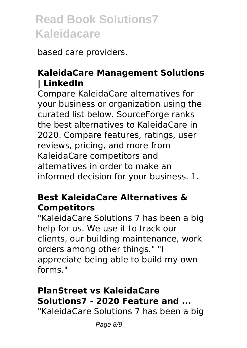based care providers.

### **KaleidaCare Management Solutions | LinkedIn**

Compare KaleidaCare alternatives for your business or organization using the curated list below. SourceForge ranks the best alternatives to KaleidaCare in 2020. Compare features, ratings, user reviews, pricing, and more from KaleidaCare competitors and alternatives in order to make an informed decision for your business. 1.

#### **Best KaleidaCare Alternatives & Competitors**

"KaleidaCare Solutions 7 has been a big help for us. We use it to track our clients, our building maintenance, work orders among other things." "I appreciate being able to build my own forms."

### **PlanStreet vs KaleidaCare Solutions7 - 2020 Feature and ...**

"KaleidaCare Solutions 7 has been a big